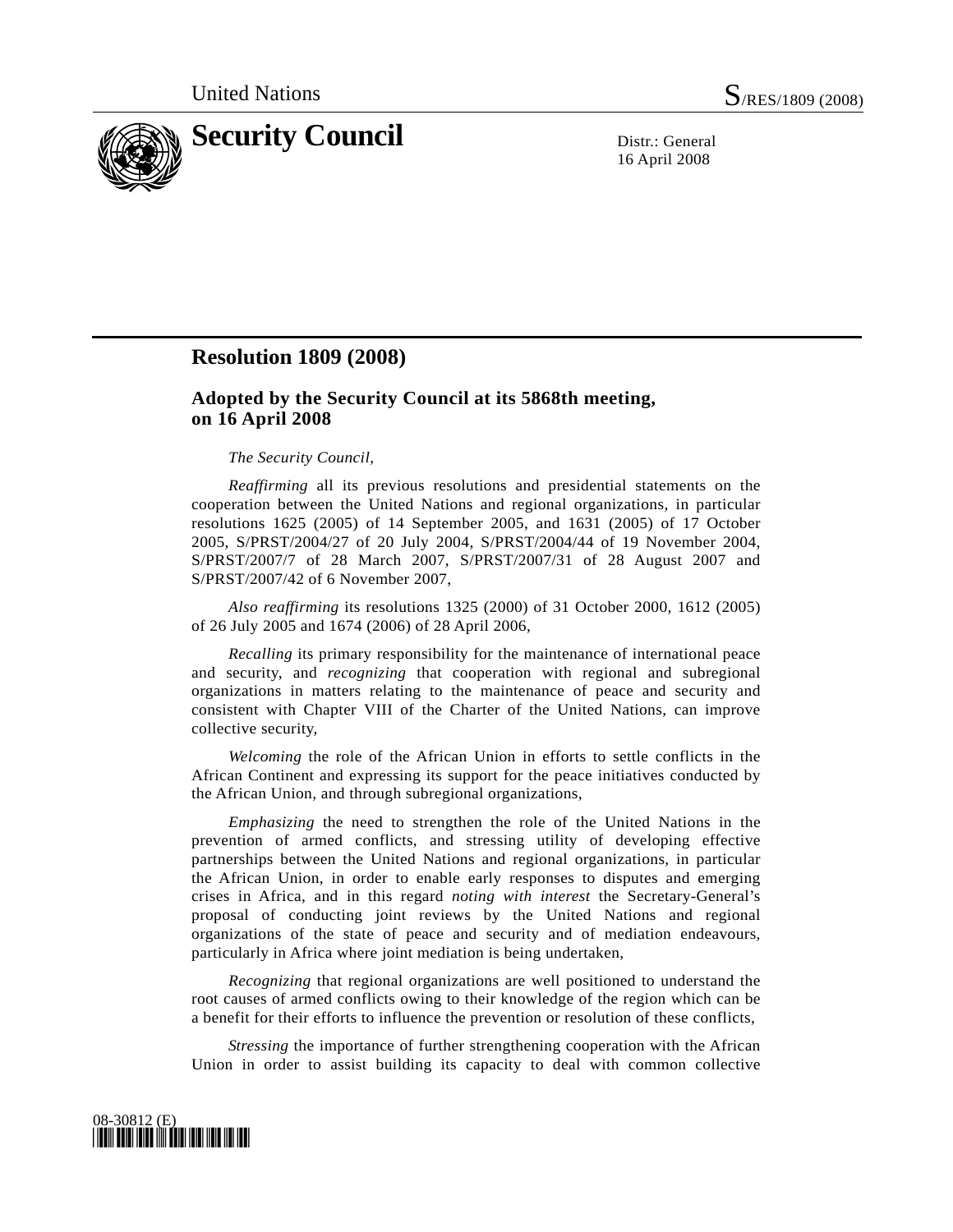

16 April 2008

## **Resolution 1809 (2008)**

## **Adopted by the Security Council at its 5868th meeting, on 16 April 2008**

## *The Security Council*,

 *Reaffirming* all its previous resolutions and presidential statements on the cooperation between the United Nations and regional organizations, in particular resolutions 1625 (2005) of 14 September 2005, and 1631 (2005) of 17 October 2005, S/PRST/2004/27 of 20 July 2004, S/PRST/2004/44 of 19 November 2004, S/PRST/2007/7 of 28 March 2007, S/PRST/2007/31 of 28 August 2007 and S/PRST/2007/42 of 6 November 2007,

 *Also reaffirming* its resolutions 1325 (2000) of 31 October 2000, 1612 (2005) of 26 July 2005 and 1674 (2006) of 28 April 2006,

 *Recalling* its primary responsibility for the maintenance of international peace and security, and *recognizing* that cooperation with regional and subregional organizations in matters relating to the maintenance of peace and security and consistent with Chapter VIII of the Charter of the United Nations, can improve collective security,

 *Welcoming* the role of the African Union in efforts to settle conflicts in the African Continent and expressing its support for the peace initiatives conducted by the African Union, and through subregional organizations,

 *Emphasizing* the need to strengthen the role of the United Nations in the prevention of armed conflicts, and stressing utility of developing effective partnerships between the United Nations and regional organizations, in particular the African Union, in order to enable early responses to disputes and emerging crises in Africa, and in this regard *noting with interest* the Secretary-General's proposal of conducting joint reviews by the United Nations and regional organizations of the state of peace and security and of mediation endeavours, particularly in Africa where joint mediation is being undertaken,

 *Recognizing* that regional organizations are well positioned to understand the root causes of armed conflicts owing to their knowledge of the region which can be a benefit for their efforts to influence the prevention or resolution of these conflicts,

 *Stressing* the importance of further strengthening cooperation with the African Union in order to assist building its capacity to deal with common collective

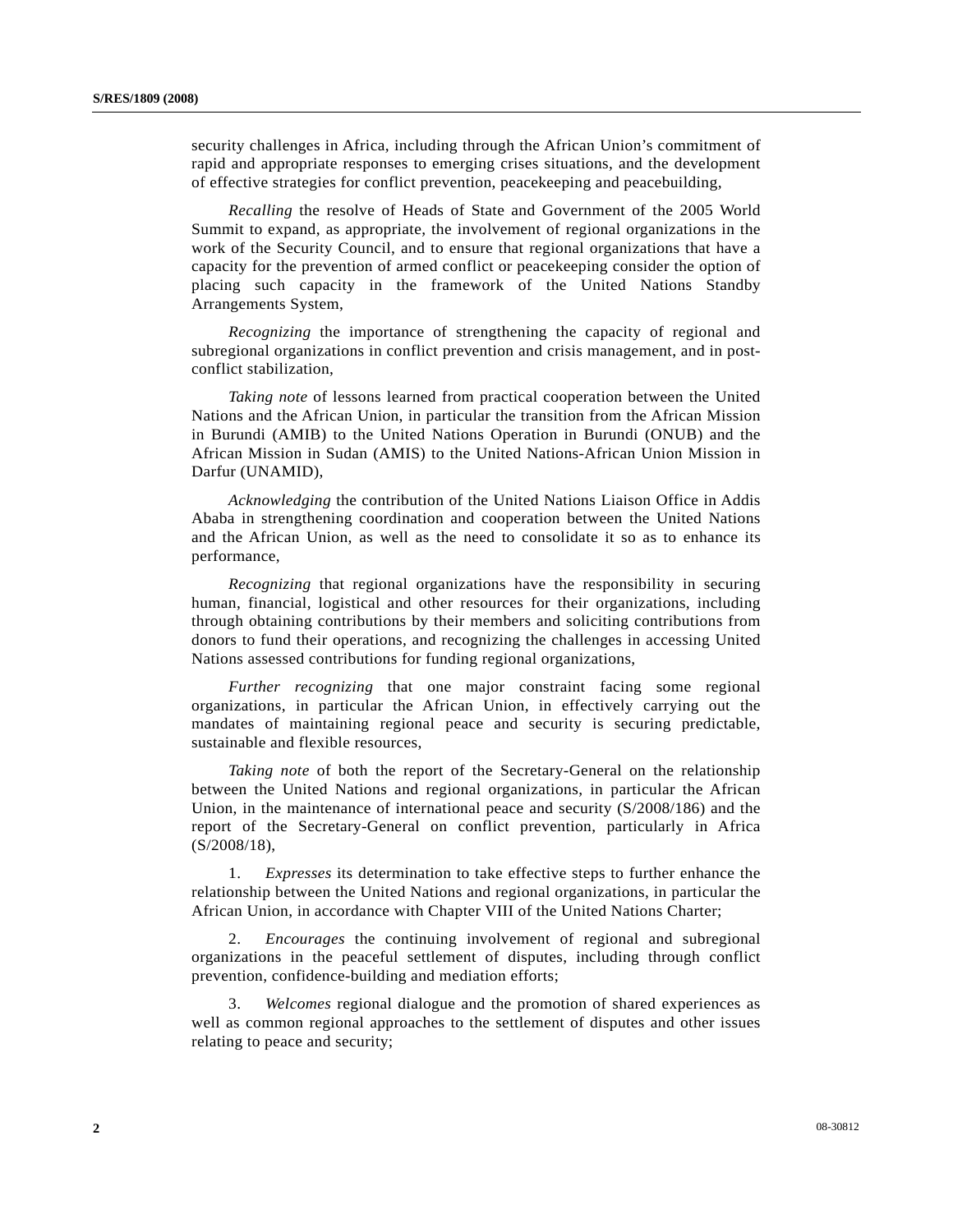security challenges in Africa, including through the African Union's commitment of rapid and appropriate responses to emerging crises situations, and the development of effective strategies for conflict prevention, peacekeeping and peacebuilding,

 *Recalling* the resolve of Heads of State and Government of the 2005 World Summit to expand, as appropriate, the involvement of regional organizations in the work of the Security Council, and to ensure that regional organizations that have a capacity for the prevention of armed conflict or peacekeeping consider the option of placing such capacity in the framework of the United Nations Standby Arrangements System,

 *Recognizing* the importance of strengthening the capacity of regional and subregional organizations in conflict prevention and crisis management, and in postconflict stabilization,

 *Taking note* of lessons learned from practical cooperation between the United Nations and the African Union, in particular the transition from the African Mission in Burundi (AMIB) to the United Nations Operation in Burundi (ONUB) and the African Mission in Sudan (AMIS) to the United Nations-African Union Mission in Darfur (UNAMID),

 *Acknowledging* the contribution of the United Nations Liaison Office in Addis Ababa in strengthening coordination and cooperation between the United Nations and the African Union, as well as the need to consolidate it so as to enhance its performance,

 *Recognizing* that regional organizations have the responsibility in securing human, financial, logistical and other resources for their organizations, including through obtaining contributions by their members and soliciting contributions from donors to fund their operations, and recognizing the challenges in accessing United Nations assessed contributions for funding regional organizations,

 *Further recognizing* that one major constraint facing some regional organizations, in particular the African Union, in effectively carrying out the mandates of maintaining regional peace and security is securing predictable, sustainable and flexible resources,

 *Taking note* of both the report of the Secretary-General on the relationship between the United Nations and regional organizations, in particular the African Union, in the maintenance of international peace and security (S/2008/186) and the report of the Secretary-General on conflict prevention, particularly in Africa (S/2008/18),

 1. *Expresses* its determination to take effective steps to further enhance the relationship between the United Nations and regional organizations, in particular the African Union, in accordance with Chapter VIII of the United Nations Charter;

 2. *Encourages* the continuing involvement of regional and subregional organizations in the peaceful settlement of disputes, including through conflict prevention, confidence-building and mediation efforts;

 3. *Welcomes* regional dialogue and the promotion of shared experiences as well as common regional approaches to the settlement of disputes and other issues relating to peace and security;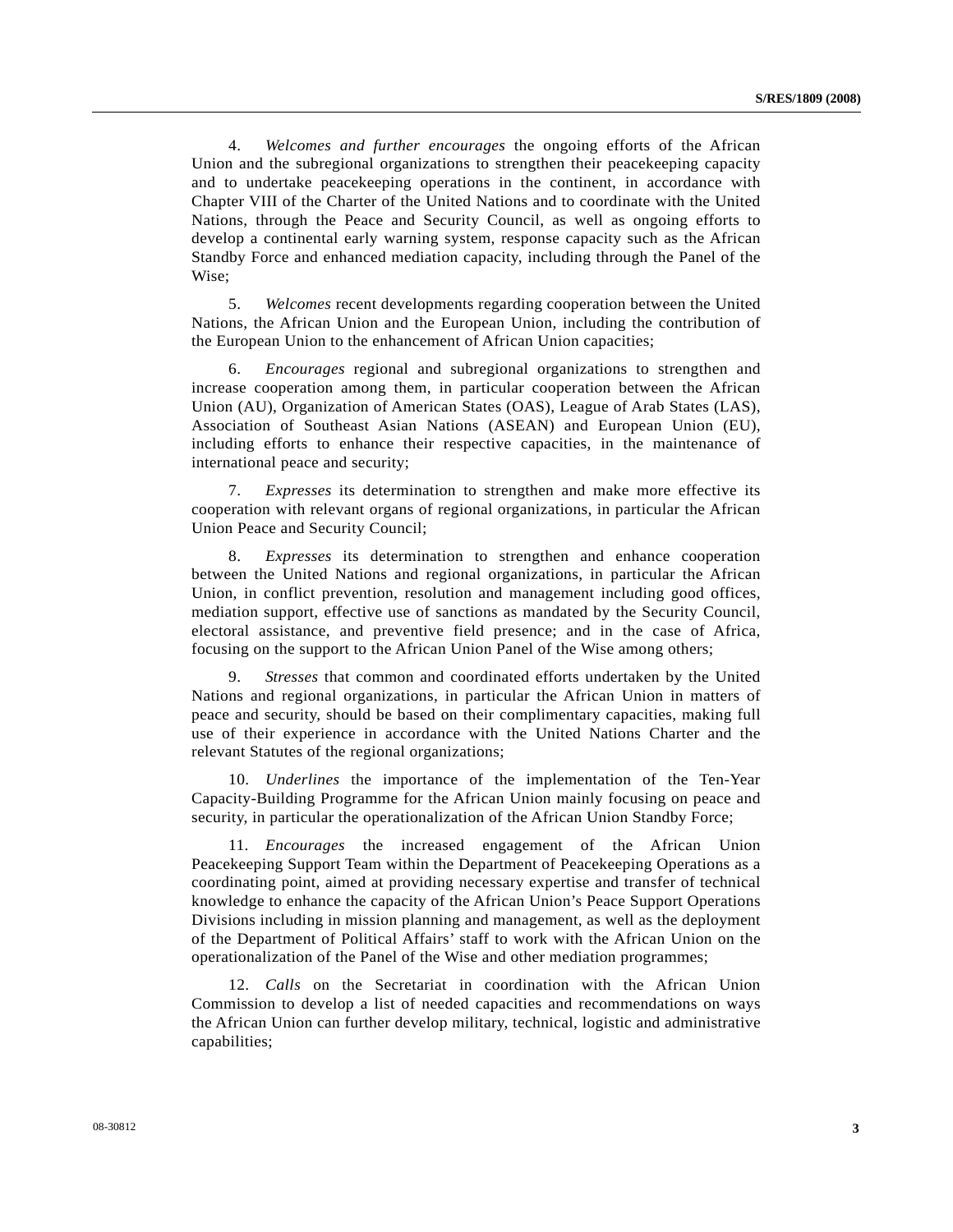4. *Welcomes and further encourages* the ongoing efforts of the African Union and the subregional organizations to strengthen their peacekeeping capacity and to undertake peacekeeping operations in the continent, in accordance with Chapter VIII of the Charter of the United Nations and to coordinate with the United Nations, through the Peace and Security Council, as well as ongoing efforts to develop a continental early warning system, response capacity such as the African Standby Force and enhanced mediation capacity, including through the Panel of the Wise;

 5. *Welcomes* recent developments regarding cooperation between the United Nations, the African Union and the European Union, including the contribution of the European Union to the enhancement of African Union capacities;

 6. *Encourages* regional and subregional organizations to strengthen and increase cooperation among them, in particular cooperation between the African Union (AU), Organization of American States (OAS), League of Arab States (LAS), Association of Southeast Asian Nations (ASEAN) and European Union (EU), including efforts to enhance their respective capacities, in the maintenance of international peace and security;

 7. *Expresses* its determination to strengthen and make more effective its cooperation with relevant organs of regional organizations, in particular the African Union Peace and Security Council;

 8. *Expresses* its determination to strengthen and enhance cooperation between the United Nations and regional organizations, in particular the African Union, in conflict prevention, resolution and management including good offices, mediation support, effective use of sanctions as mandated by the Security Council, electoral assistance, and preventive field presence; and in the case of Africa, focusing on the support to the African Union Panel of the Wise among others;

 9. *Stresses* that common and coordinated efforts undertaken by the United Nations and regional organizations, in particular the African Union in matters of peace and security, should be based on their complimentary capacities, making full use of their experience in accordance with the United Nations Charter and the relevant Statutes of the regional organizations;

 10. *Underlines* the importance of the implementation of the Ten-Year Capacity-Building Programme for the African Union mainly focusing on peace and security, in particular the operationalization of the African Union Standby Force;

 11. *Encourages* the increased engagement of the African Union Peacekeeping Support Team within the Department of Peacekeeping Operations as a coordinating point, aimed at providing necessary expertise and transfer of technical knowledge to enhance the capacity of the African Union's Peace Support Operations Divisions including in mission planning and management, as well as the deployment of the Department of Political Affairs' staff to work with the African Union on the operationalization of the Panel of the Wise and other mediation programmes;

 12. *Calls* on the Secretariat in coordination with the African Union Commission to develop a list of needed capacities and recommendations on ways the African Union can further develop military, technical, logistic and administrative capabilities;